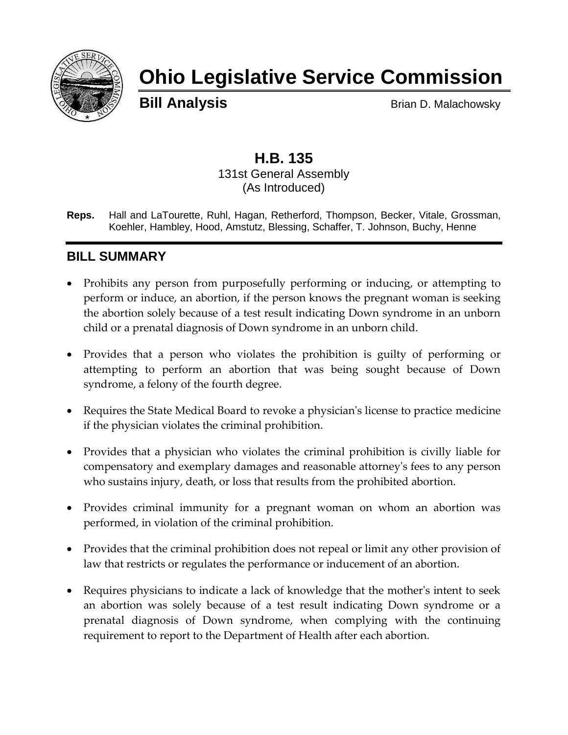

# **Ohio Legislative Service Commission**

**Bill Analysis** Brian D. Malachowsky

## **H.B. 135** 131st General Assembly

(As Introduced)

**Reps.** Hall and LaTourette, Ruhl, Hagan, Retherford, Thompson, Becker, Vitale, Grossman, Koehler, Hambley, Hood, Amstutz, Blessing, Schaffer, T. Johnson, Buchy, Henne

# **BILL SUMMARY**

- Prohibits any person from purposefully performing or inducing, or attempting to perform or induce, an abortion, if the person knows the pregnant woman is seeking the abortion solely because of a test result indicating Down syndrome in an unborn child or a prenatal diagnosis of Down syndrome in an unborn child.
- Provides that a person who violates the prohibition is guilty of performing or attempting to perform an abortion that was being sought because of Down syndrome, a felony of the fourth degree.
- Requires the State Medical Board to revoke a physician's license to practice medicine if the physician violates the criminal prohibition.
- Provides that a physician who violates the criminal prohibition is civilly liable for compensatory and exemplary damages and reasonable attorney's fees to any person who sustains injury, death, or loss that results from the prohibited abortion.
- Provides criminal immunity for a pregnant woman on whom an abortion was performed, in violation of the criminal prohibition.
- Provides that the criminal prohibition does not repeal or limit any other provision of law that restricts or regulates the performance or inducement of an abortion.
- Requires physicians to indicate a lack of knowledge that the mother's intent to seek an abortion was solely because of a test result indicating Down syndrome or a prenatal diagnosis of Down syndrome, when complying with the continuing requirement to report to the Department of Health after each abortion.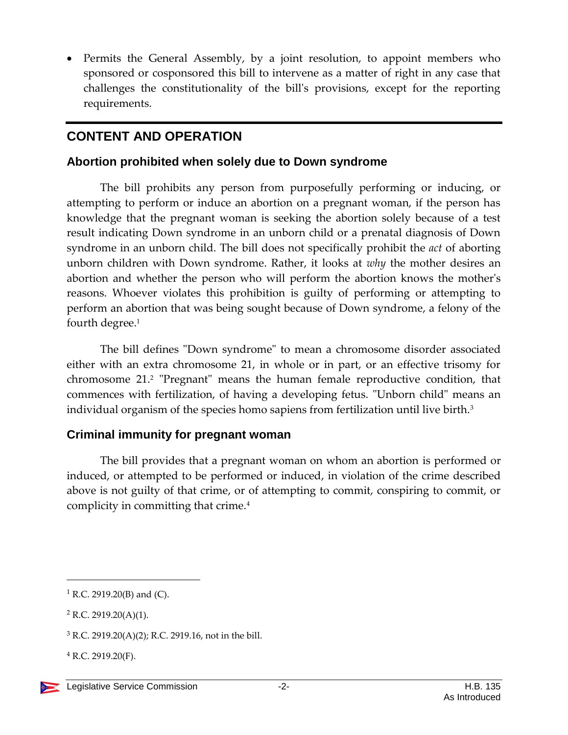• Permits the General Assembly, by a joint resolution, to appoint members who sponsored or cosponsored this bill to intervene as a matter of right in any case that challenges the constitutionality of the bill's provisions, except for the reporting requirements.

# **CONTENT AND OPERATION**

#### **Abortion prohibited when solely due to Down syndrome**

The bill prohibits any person from purposefully performing or inducing, or attempting to perform or induce an abortion on a pregnant woman, if the person has knowledge that the pregnant woman is seeking the abortion solely because of a test result indicating Down syndrome in an unborn child or a prenatal diagnosis of Down syndrome in an unborn child. The bill does not specifically prohibit the *act* of aborting unborn children with Down syndrome. Rather, it looks at *why* the mother desires an abortion and whether the person who will perform the abortion knows the mother's reasons. Whoever violates this prohibition is guilty of performing or attempting to perform an abortion that was being sought because of Down syndrome, a felony of the fourth degree.<sup>1</sup>

The bill defines "Down syndrome" to mean a chromosome disorder associated either with an extra chromosome 21, in whole or in part, or an effective trisomy for chromosome 21.<sup>2</sup> "Pregnant" means the human female reproductive condition, that commences with fertilization, of having a developing fetus. "Unborn child" means an individual organism of the species homo sapiens from fertilization until live birth.<sup>3</sup>

#### **Criminal immunity for pregnant woman**

The bill provides that a pregnant woman on whom an abortion is performed or induced, or attempted to be performed or induced, in violation of the crime described above is not guilty of that crime, or of attempting to commit, conspiring to commit, or complicity in committing that crime.<sup>4</sup>

 $\overline{a}$ 

 $1$  R.C. 2919.20(B) and (C).

 $2$  R.C. 2919.20(A)(1).

 $3$  R.C. 2919.20(A)(2); R.C. 2919.16, not in the bill.

 $4$  R.C. 2919.20(F).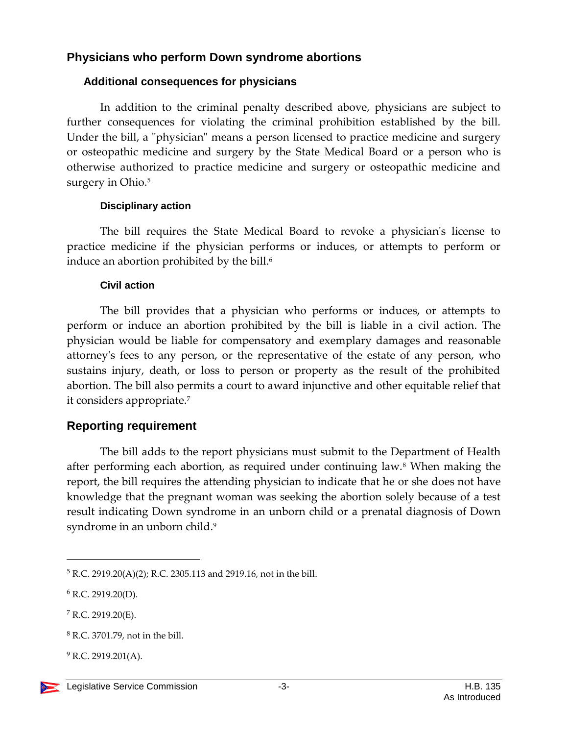### **Physicians who perform Down syndrome abortions**

#### **Additional consequences for physicians**

In addition to the criminal penalty described above, physicians are subject to further consequences for violating the criminal prohibition established by the bill. Under the bill, a "physician" means a person licensed to practice medicine and surgery or osteopathic medicine and surgery by the State Medical Board or a person who is otherwise authorized to practice medicine and surgery or osteopathic medicine and surgery in Ohio.<sup>5</sup>

#### **Disciplinary action**

The bill requires the State Medical Board to revoke a physician's license to practice medicine if the physician performs or induces, or attempts to perform or induce an abortion prohibited by the bill. 6

#### **Civil action**

The bill provides that a physician who performs or induces, or attempts to perform or induce an abortion prohibited by the bill is liable in a civil action. The physician would be liable for compensatory and exemplary damages and reasonable attorney's fees to any person, or the representative of the estate of any person, who sustains injury, death, or loss to person or property as the result of the prohibited abortion. The bill also permits a court to award injunctive and other equitable relief that it considers appropriate.<sup>7</sup>

## **Reporting requirement**

The bill adds to the report physicians must submit to the Department of Health after performing each abortion, as required under continuing law.<sup>8</sup> When making the report, the bill requires the attending physician to indicate that he or she does not have knowledge that the pregnant woman was seeking the abortion solely because of a test result indicating Down syndrome in an unborn child or a prenatal diagnosis of Down syndrome in an unborn child. 9

 $\overline{a}$ 

<sup>5</sup> R.C. 2919.20(A)(2); R.C. 2305.113 and 2919.16, not in the bill.

<sup>6</sup> R.C. 2919.20(D).

 $7$  R.C. 2919.20(E).

<sup>8</sup> R.C. 3701.79, not in the bill.

 $^{9}$  R.C. 2919.201(A).